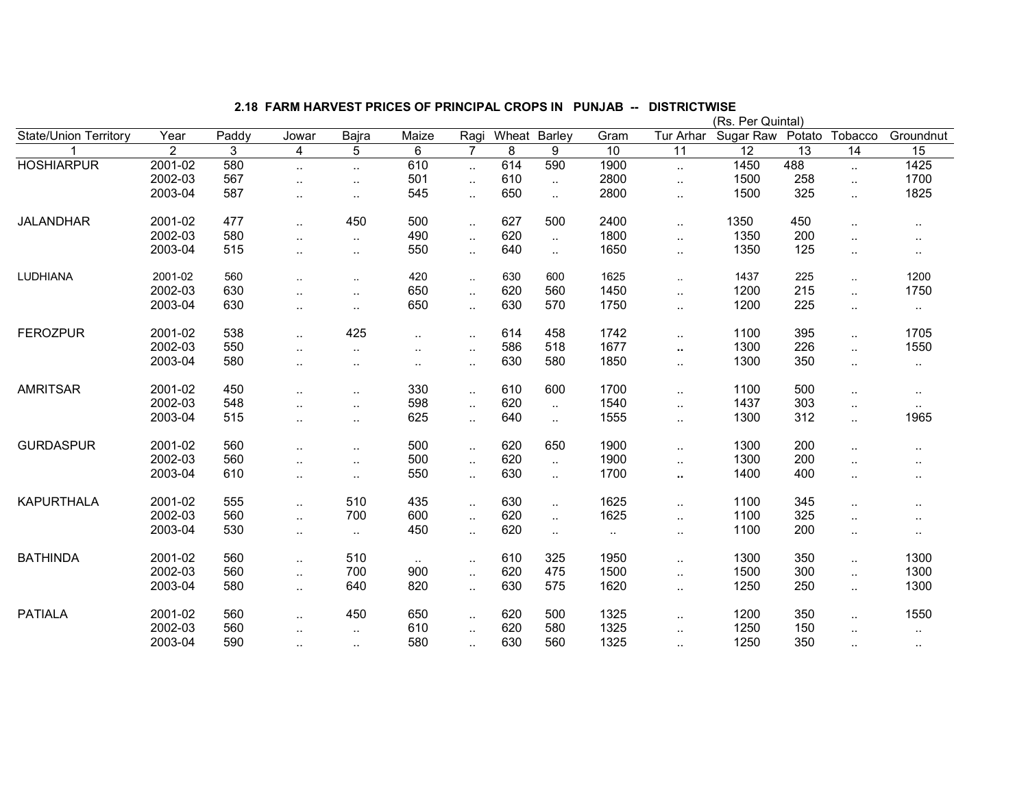|                              |                |       |                      |           |                        |                |              |           |           |                      | (Rs. Per Quintal) |                 |                      |           |
|------------------------------|----------------|-------|----------------------|-----------|------------------------|----------------|--------------|-----------|-----------|----------------------|-------------------|-----------------|----------------------|-----------|
| <b>State/Union Territory</b> | Year           | Paddy | Jowar                | Bajra     | Maize                  | Ragi           | Wheat Barley |           | Gram      | Tur Arhar            | Sugar Raw         | Potato          | <b>Tobacco</b>       | Groundnut |
|                              | $\overline{2}$ | 3     | 4                    | 5         | 6                      | $\overline{7}$ | 8            | 9         | 10        | $\overline{11}$      | $\overline{12}$   | $\overline{13}$ | 14                   | 15        |
| <b>HOSHIARPUR</b>            | $2001 - 02$    | 580   | $\cdot$ .            | $\ldots$  | 610                    | $\ddotsc$      | 614          | 590       | 1900      | $\ddotsc$            | 1450              | 488             | $\ddotsc$            | 1425      |
|                              | 2002-03        | 567   | $\cdot$ .            | $\cdot$ . | 501                    | $\ldots$       | 610          | $\ddotsc$ | 2800      | Ω.                   | 1500              | 258             | $\ddotsc$            | 1700      |
|                              | 2003-04        | 587   | $\ddot{\phantom{a}}$ | $\cdot$ . | 545                    | $\cdot$ .      | 650          | $\ddotsc$ | 2800      | $\ddotsc$            | 1500              | 325             | $\cdot$ .            | 1825      |
| <b>JALANDHAR</b>             | 2001-02        | 477   | $\ddotsc$            | 450       | 500                    | $\ddotsc$      | 627          | 500       | 2400      | $\ddotsc$            | 1350              | 450             | $\ddotsc$            | $\cdot$ . |
|                              | 2002-03        | 580   | $\cdot$ .            | $\ldots$  | 490                    | $\ddotsc$      | 620          | $\ddotsc$ | 1800      | Ω.                   | 1350              | 200             | $\ddotsc$            |           |
|                              | 2003-04        | 515   | $\cdot$ .            | $\cdot$ . | 550                    | $\cdot$ .      | 640          | $\ddotsc$ | 1650      | $\ddot{\phantom{a}}$ | 1350              | 125             | $\sim$               | $\cdot$ . |
| LUDHIANA                     | 2001-02        | 560   | $\ddot{\phantom{a}}$ | $\ddotsc$ | 420                    | $\cdot$ .      | 630          | 600       | 1625      | $\ddot{\phantom{a}}$ | 1437              | 225             | $\ddotsc$            | 1200      |
|                              | 2002-03        | 630   |                      | $\cdot$ . | 650                    | $\cdot$ .      | 620          | 560       | 1450      | Ω.                   | 1200              | 215             | $\ddotsc$            | 1750      |
|                              | 2003-04        | 630   | $\cdot$ .            | $\sim$    | 650                    | $\ldots$       | 630          | 570       | 1750      | $\ddotsc$            | 1200              | 225             | $\cdot$ .            | $\cdot$ . |
| <b>FEROZPUR</b>              | 2001-02        | 538   | $\ddotsc$            | 425       | $\ddot{\phantom{a}}$ . | $\sim$         | 614          | 458       | 1742      | Ш.                   | 1100              | 395             | $\ddotsc$            | 1705      |
|                              | 2002-03        | 550   | $\ddot{\phantom{a}}$ | $\ddotsc$ | $\ddotsc$              | $\sim$         | 586          | 518       | 1677      | $\sim$               | 1300              | 226             | $\ddot{\phantom{a}}$ | 1550      |
|                              | 2003-04        | 580   | $\ddotsc$            | $\sim$    | $\ddotsc$              | $\sim$         | 630          | 580       | 1850      | $\ddotsc$            | 1300              | 350             | $\cdot$ .            | $\sim$    |
| <b>AMRITSAR</b>              | 2001-02        | 450   | $\ddotsc$            | $\sim$    | 330                    | $\sim$         | 610          | 600       | 1700      | $\ddot{\phantom{a}}$ | 1100              | 500             | $\ddotsc$            | $\cdot$ . |
|                              | 2002-03        | 548   | $\ddotsc$            | $\cdot$ . | 598                    | $\cdot$ .      | 620          | $\sim$    | 1540      |                      | 1437              | 303             | $\cdot$ .            | $\cdot$ . |
|                              | 2003-04        | 515   | $\ddot{\phantom{a}}$ | $\cdot$ . | 625                    | $\ddotsc$      | 640          | $\ddotsc$ | 1555      | $\ddot{\phantom{a}}$ | 1300              | 312             | $\ddotsc$            | 1965      |
| <b>GURDASPUR</b>             | 2001-02        | 560   | $\ddotsc$            | $\cdot$ . | 500                    | $\sim$         | 620          | 650       | 1900      | Ω.                   | 1300              | 200             |                      | $\cdot$ . |
|                              | 2002-03        | 560   | $\ddotsc$            | $\sim$    | 500                    | $\sim$         | 620          | $\sim$    | 1900      |                      | 1300              | 200             |                      |           |
|                              | 2003-04        | 610   | $\ddotsc$            | $\sim$    | 550                    | $\cdot$ .      | 630          | $\ddotsc$ | 1700      | Ω.                   | 1400              | 400             | $\ddot{\phantom{a}}$ | ٠.        |
| <b>KAPURTHALA</b>            | 2001-02        | 555   | $\ddotsc$            | 510       | 435                    | $\sim$         | 630          | $\ddotsc$ | 1625      | $\ddot{\phantom{a}}$ | 1100              | 345             | $\ddot{\phantom{a}}$ | $\cdot$ . |
|                              | 2002-03        | 560   | $\ddotsc$            | 700       | 600                    | $\ldots$       | 620          | $\ddotsc$ | 1625      | Ω.                   | 1100              | 325             | $\ddot{\phantom{a}}$ |           |
|                              | 2003-04        | 530   | $\cdot$ .            | $\sim$    | 450                    | $\cdot$ .      | 620          | $\ddotsc$ | $\cdot$ . |                      | 1100              | 200             | $\ddot{\phantom{a}}$ | $\sim$    |
| <b>BATHINDA</b>              | 2001-02        | 560   | $\ldots$             | 510       | $\sim$                 | $\cdot$ .      | 610          | 325       | 1950      | $\ddotsc$            | 1300              | 350             | $\ddotsc$            | 1300      |
|                              | 2002-03        | 560   | $\cdot$ .            | 700       | 900                    | $\ddotsc$      | 620          | 475       | 1500      | $\ddotsc$            | 1500              | 300             | $\ddotsc$            | 1300      |
|                              | 2003-04        | 580   | $\cdot$ .            | 640       | 820                    | $\cdot$ .      | 630          | 575       | 1620      | $\ddotsc$            | 1250              | 250             | $\cdot$ .            | 1300      |
| <b>PATIALA</b>               | 2001-02        | 560   | $\cdot$ .            | 450       | 650                    | $\sim$         | 620          | 500       | 1325      |                      | 1200              | 350             | $\cdot$ .            | 1550      |
|                              | 2002-03        | 560   | $\cdot$ .            | $\ldots$  | 610                    | $\ddotsc$      | 620          | 580       | 1325      | $\ddot{\phantom{a}}$ | 1250              | 150             | ٠.                   | $\cdot$ . |
|                              | 2003-04        | 590   | $\ldots$             | $\ldots$  | 580                    | $\ddotsc$      | 630          | 560       | 1325      | $\ddot{\phantom{a}}$ | 1250              | 350             |                      | $\sim$    |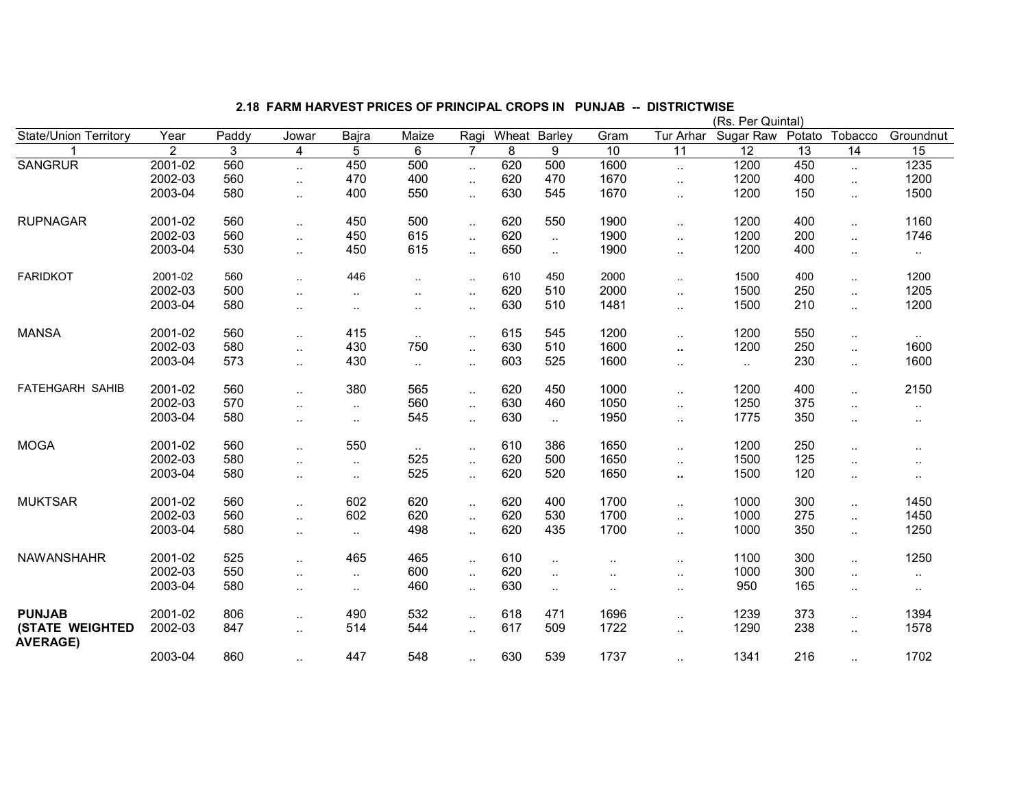|                                           |                |       |                      |           |                      |                |       |                      |                      |                      | (Rs. Per Quintal) |        |                      |               |
|-------------------------------------------|----------------|-------|----------------------|-----------|----------------------|----------------|-------|----------------------|----------------------|----------------------|-------------------|--------|----------------------|---------------|
| <b>State/Union Territory</b>              | Year           | Paddy | Jowar                | Bajra     | Maize                | Ragi           | Wheat | Barley               | Gram                 | Tur Arhar            | Sugar Raw         | Potato | <b>Tobacco</b>       | Groundnut     |
|                                           | $\overline{2}$ | 3     | 4                    | 5         | 6                    | $\overline{7}$ | 8     | 9                    | 10                   | 11                   | 12                | 13     | 14                   | 15            |
| <b>SANGRUR</b>                            | 2001-02        | 560   | $\ddotsc$            | 450       | 500                  | $\ddotsc$      | 620   | 500                  | 1600                 | $\ddotsc$            | 1200              | 450    | $\ddotsc$            | 1235          |
|                                           | 2002-03        | 560   | $\sim$               | 470       | 400                  | $\ddotsc$      | 620   | 470                  | 1670                 | $\ldots$             | 1200              | 400    | $\ddotsc$            | 1200          |
|                                           | 2003-04        | 580   | $\sim$               | 400       | 550                  | $\ddotsc$      | 630   | 545                  | 1670                 | $\ddotsc$            | 1200              | 150    | $\ddotsc$            | 1500          |
| <b>RUPNAGAR</b>                           | 2001-02        | 560   | $\ddotsc$            | 450       | 500                  | $\ddotsc$      | 620   | 550                  | 1900                 | $\ldots$             | 1200              | 400    | $\ddotsc$            | 1160          |
|                                           | 2002-03        | 560   | $\sim$               | 450       | 615                  | $\cdot$ .      | 620   | $\ddot{\phantom{a}}$ | 1900                 | $\ddotsc$            | 1200              | 200    | $\ddotsc$            | 1746          |
|                                           | 2003-04        | 530   | $\sim$               | 450       | 615                  | $\ddotsc$      | 650   | $\sim$               | 1900                 | $\ddotsc$            | 1200              | 400    | ٠.                   | $\sim$        |
| <b>FARIDKOT</b>                           | 2001-02        | 560   | $\ddotsc$            | 446       | $\ddotsc$            | $\ddotsc$      | 610   | 450                  | 2000                 | $\sim$               | 1500              | 400    | $\sim$               | 1200          |
|                                           | 2002-03        | 500   | $\ddot{\phantom{a}}$ | $\sim$    | $\ddotsc$            | $\cdot$ .      | 620   | 510                  | 2000                 | $\ddotsc$            | 1500              | 250    | $\ddotsc$            | 1205          |
|                                           | 2003-04        | 580   | $\ddotsc$            | $\cdot$ . | $\ddot{\phantom{1}}$ | $\ddotsc$      | 630   | 510                  | 1481                 | $\sim$               | 1500              | 210    | $\ddotsc$            | 1200          |
| <b>MANSA</b>                              | 2001-02        | 560   | $\cdot$ .            | 415       | $\sim$ $\sim$        | $\sim$         | 615   | 545                  | 1200                 | $\ddotsc$            | 1200              | 550    | $\cdot$ .            | $\sim$ $\sim$ |
|                                           | 2002-03        | 580   | $\cdot$ .            | 430       | 750                  | $\ddotsc$      | 630   | 510                  | 1600                 | $\sim$               | 1200              | 250    | $\ddotsc$            | 1600          |
|                                           | 2003-04        | 573   | $\cdot$ .            | 430       | $\ddotsc$            | $\sim$         | 603   | 525                  | 1600                 | $\ddotsc$            | $\sim$            | 230    | $\ddotsc$            | 1600          |
| <b>FATEHGARH SAHIB</b>                    | 2001-02        | 560   | $\ddotsc$            | 380       | 565                  | $\sim$         | 620   | 450                  | 1000                 | $\ddotsc$            | 1200              | 400    | $\ddotsc$            | 2150          |
|                                           | 2002-03        | 570   | $\cdot$ .            | $\ddotsc$ | 560                  | $\ddotsc$      | 630   | 460                  | 1050                 | $\ddotsc$            | 1250              | 375    | $\ddot{\phantom{a}}$ | $\ddotsc$     |
|                                           | 2003-04        | 580   | $\cdot$ .            | $\ddotsc$ | 545                  | $\sim$         | 630   | $\cdot$ .            | 1950                 | $\cdot$ .            | 1775              | 350    |                      | $\cdot$ .     |
| <b>MOGA</b>                               | 2001-02        | 560   | $\ddotsc$            | 550       | $\sim$               | $\sim$         | 610   | 386                  | 1650                 | $\sim$               | 1200              | 250    | $\ddot{\phantom{a}}$ | $\ddotsc$     |
|                                           | 2002-03        | 580   | $\ddotsc$            | $\sim$    | 525                  | $\ddotsc$      | 620   | 500                  | 1650                 | $\ddotsc$            | 1500              | 125    | $\ddot{\phantom{a}}$ | $\cdot$ .     |
|                                           | 2003-04        | 580   | $\cdot$ .            | $\cdot$ . | 525                  | $\ddotsc$      | 620   | 520                  | 1650                 | $\sim$               | 1500              | 120    | ٠.                   | $\ddotsc$     |
| <b>MUKTSAR</b>                            | 2001-02        | 560   | $\ddotsc$            | 602       | 620                  | $\ddotsc$      | 620   | 400                  | 1700                 | $\ldots$             | 1000              | 300    | $\ldots$             | 1450          |
|                                           | 2002-03        | 560   | $\ddotsc$            | 602       | 620                  | $\sim$         | 620   | 530                  | 1700                 | $\ldots$             | 1000              | 275    | $\ddotsc$            | 1450          |
|                                           | 2003-04        | 580   | $\ddot{\phantom{a}}$ | $\sim$    | 498                  | $\ddotsc$      | 620   | 435                  | 1700                 | $\ddotsc$            | 1000              | 350    | $\ddotsc$            | 1250          |
| <b>NAWANSHAHR</b>                         | 2001-02        | 525   | $\ddotsc$            | 465       | 465                  | $\ddotsc$      | 610   | $\cdot$ .            |                      | $\ddotsc$            | 1100              | 300    | $\ddotsc$            | 1250          |
|                                           | 2002-03        | 550   | $\ddot{\phantom{a}}$ | $\cdot$ . | 600                  | $\ddotsc$      | 620   | $\cdot$ .            |                      | $\ddotsc$            | 1000              | 300    | $\ddot{\phantom{a}}$ | $\ddotsc$     |
|                                           | 2003-04        | 580   | $\ddot{\phantom{a}}$ | $\cdot$ . | 460                  | $\ddotsc$      | 630   | $\sim$               | $\ddot{\phantom{a}}$ |                      | 950               | 165    | $\ddot{\phantom{a}}$ | $\ddotsc$     |
| <b>PUNJAB</b>                             | 2001-02        | 806   | $\sim$ $\sim$        | 490       | 532                  | $\ddotsc$      | 618   | 471                  | 1696                 | $\ddotsc$            | 1239              | 373    | $\ddotsc$            | 1394          |
| <b>(STATE WEIGHTED</b><br><b>AVERAGE)</b> | 2002-03        | 847   | $\ddotsc$            | 514       | 544                  | $\ddotsc$      | 617   | 509                  | 1722                 | $\ddotsc$            | 1290              | 238    | $\cdot$ .            | 1578          |
|                                           | 2003-04        | 860   | $\cdot$ .            | 447       | 548                  | $\ddotsc$      | 630   | 539                  | 1737                 | $\ddot{\phantom{a}}$ | 1341              | 216    | $\ddot{\phantom{a}}$ | 1702          |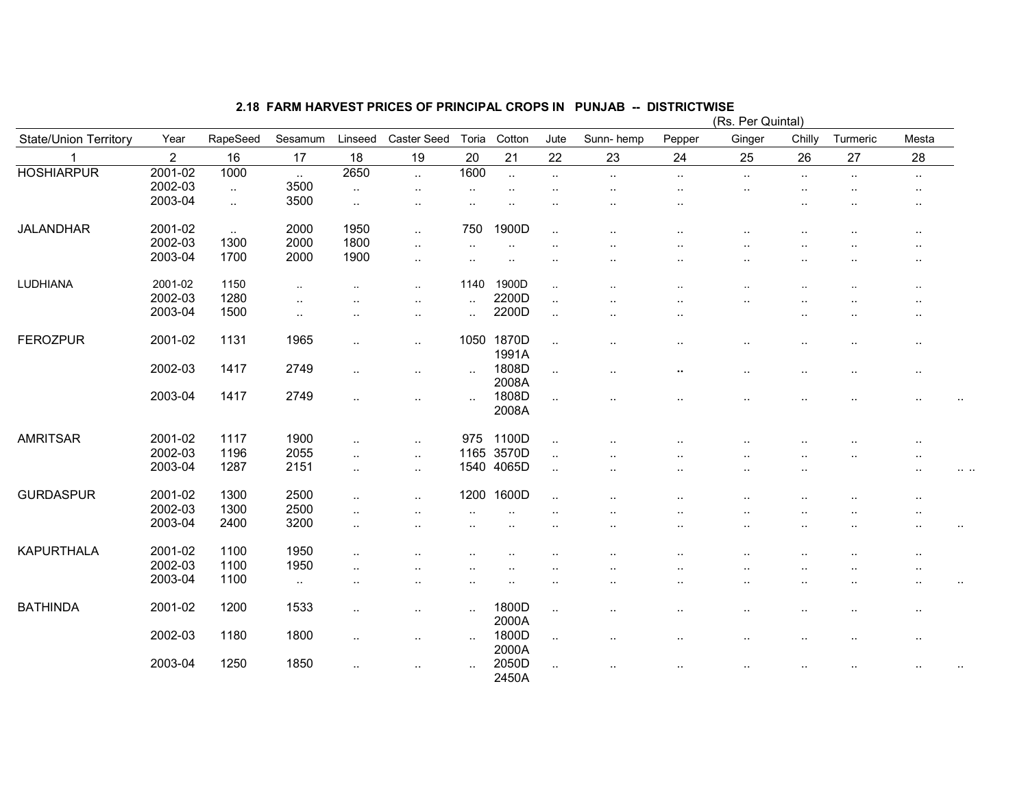|                              |                |           |           |                      |                      |                      |                |                      |                      |           | (Rs. Per Quintal) |                      |           |                      |  |
|------------------------------|----------------|-----------|-----------|----------------------|----------------------|----------------------|----------------|----------------------|----------------------|-----------|-------------------|----------------------|-----------|----------------------|--|
| <b>State/Union Territory</b> | Year           | RapeSeed  | Sesamum   | Linseed              | Caster Seed          | Toria                | Cotton         | Jute                 | Sunn-hemp            | Pepper    | Ginger            | Chilly               | Turmeric  | Mesta                |  |
|                              | $\overline{2}$ | 16        | 17        | 18                   | 19                   | 20                   | 21             | 22                   | 23                   | 24        | 25                | 26                   | 27        | 28                   |  |
| <b>HOSHIARPUR</b>            | 2001-02        | 1000      | $\cdot$ . | 2650                 | $\ddot{\phantom{a}}$ | 1600                 | $\ddotsc$      | $\ldots$             | $\ldots$             | $\ddotsc$ | $\ddotsc$         | $\ddot{\phantom{a}}$ | $\cdot$ . | $\cdot$ .            |  |
|                              | 2002-03        | $\ddotsc$ | 3500      | $\sim$               | $\cdot$ .            | $\ddot{\phantom{a}}$ | $\cdot$ .      | $\ddot{\phantom{a}}$ | $\cdot$ .            |           |                   |                      |           |                      |  |
|                              | 2003-04        | $\ldots$  | 3500      | $\sim$               | $\cdot$ .            | $\sim$ $\sim$        |                | $\ddot{\phantom{1}}$ | $\ddot{\phantom{1}}$ | $\cdot$ . |                   |                      |           | $\sim$               |  |
| <b>JALANDHAR</b>             | 2001-02        | $\ddotsc$ | 2000      | 1950                 | $\ddotsc$            | 750                  | 1900D          | $\cdot$ .            |                      |           |                   |                      |           | $\ddot{\phantom{a}}$ |  |
|                              | 2002-03        | 1300      | 2000      | 1800                 | $\ldots$             | $\ddotsc$            | $\sim$         |                      |                      |           |                   |                      |           |                      |  |
|                              | 2003-04        | 1700      | 2000      | 1900                 | $\cdot$ .            | $\ddot{\phantom{a}}$ |                | ٠.                   |                      |           |                   |                      |           |                      |  |
| LUDHIANA                     | 2001-02        | 1150      | $\ddotsc$ |                      | $\ddotsc$            | 1140                 | 1900D          | $\cdot$ .            |                      |           |                   |                      |           | $\ddotsc$            |  |
|                              | 2002-03        | 1280      | $\cdot$ . |                      | $\ddot{\phantom{a}}$ | $\cdot$ .            | 2200D          | $\ldots$             |                      |           |                   |                      |           |                      |  |
|                              | 2003-04        | 1500      | $\ldots$  | $\ddotsc$            | $\ddot{\phantom{a}}$ | $\ddotsc$            | 2200D          | $\ldots$             | $\ddot{\phantom{0}}$ |           |                   |                      |           |                      |  |
| <b>FEROZPUR</b>              | 2001-02        | 1131      | 1965      | $\ddot{\phantom{0}}$ | $\ddotsc$            | 1050                 | 1870D<br>1991A | $\ddotsc$            |                      | $\cdot$ . |                   |                      |           | $\ddot{\phantom{a}}$ |  |
|                              | 2002-03        | 1417      | 2749      | $\cdot$ .            | $\cdot$ .            | $\ddotsc$            | 1808D<br>2008A | $\ddotsc$            | $\ddot{\phantom{0}}$ | ω.        | $\cdot$ .         |                      |           | $\sim$               |  |
|                              | 2003-04        | 1417      | 2749      | $\cdot$ .            | . .                  | $\ddotsc$            | 1808D<br>2008A | $\ddotsc$            |                      |           |                   |                      |           | . .                  |  |
| <b>AMRITSAR</b>              | 2001-02        | 1117      | 1900      | $\ddotsc$            | $\ddotsc$            | 975                  | 1100D          | $\cdot$ .            |                      |           |                   |                      |           |                      |  |
|                              | 2002-03        | 1196      | 2055      | $\ddotsc$            | $\cdot$ .            | 1165                 | 3570D          | $\ddotsc$            |                      |           |                   |                      |           |                      |  |
|                              | 2003-04        | 1287      | 2151      | $\ddotsc$            | $\ldots$             |                      | 1540 4065D     | $\ddotsc$            |                      |           |                   | $\ddot{\phantom{0}}$ |           | ٠.                   |  |
| <b>GURDASPUR</b>             | 2001-02        | 1300      | 2500      | $\ddotsc$            | $\ddotsc$            | 1200                 | 1600D          | $\ddotsc$            |                      |           |                   |                      |           | $\cdot$ .            |  |
|                              | 2002-03        | 1300      | 2500      | $\cdot$ .            |                      |                      |                |                      |                      |           |                   |                      |           |                      |  |
|                              | 2003-04        | 2400      | 3200      | $\ddotsc$            |                      |                      |                |                      |                      |           |                   |                      |           |                      |  |
| <b>KAPURTHALA</b>            | 2001-02        | 1100      | 1950      |                      |                      |                      |                |                      |                      |           |                   |                      |           |                      |  |
|                              | 2002-03        | 1100      | 1950      | $\ddot{\phantom{a}}$ |                      |                      |                |                      |                      |           |                   |                      |           |                      |  |
|                              | 2003-04        | 1100      | $\sim$    | $\ddotsc$            |                      |                      |                | $\ddotsc$            | $\ddot{\phantom{0}}$ |           |                   |                      |           |                      |  |
| <b>BATHINDA</b>              | 2001-02        | 1200      | 1533      |                      |                      | $\sim$               | 1800D<br>2000A | $\cdot$ .            |                      |           |                   |                      |           | $\cdot$ .            |  |
|                              | 2002-03        | 1180      | 1800      |                      | . .                  | $\cdot$ .            | 1800D<br>2000A | $\cdot$ .            |                      |           |                   |                      |           |                      |  |
|                              | 2003-04        | 1250      | 1850      |                      | . .                  | $\ddot{\phantom{a}}$ | 2050D<br>2450A | $\cdot$ .            |                      |           |                   |                      |           | ٠.                   |  |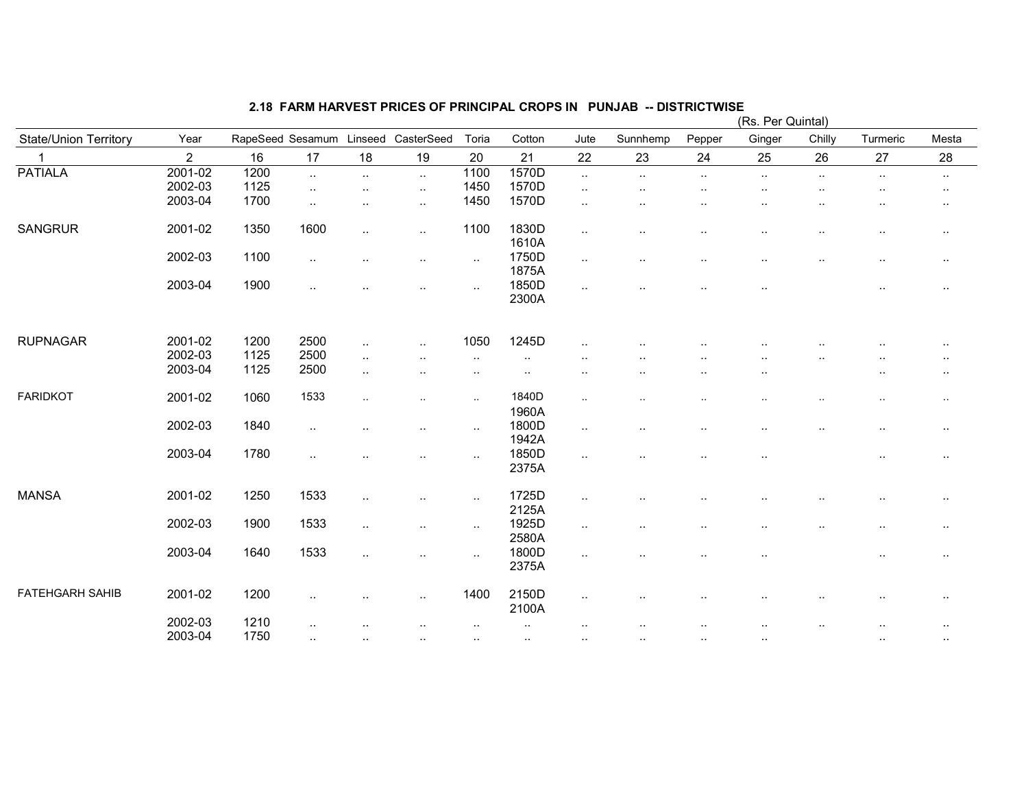|                              |                |                  |                      |                        |                      |           |                | (Rs. Per Quintal)    |                      |        |                      |           |           |               |  |
|------------------------------|----------------|------------------|----------------------|------------------------|----------------------|-----------|----------------|----------------------|----------------------|--------|----------------------|-----------|-----------|---------------|--|
| <b>State/Union Territory</b> | Year           | RapeSeed Sesamum |                      | Linseed                | CasterSeed           | Toria     | Cotton         | Jute                 | Sunnhemp             | Pepper | Ginger               | Chilly    | Turmeric  | Mesta         |  |
| 1                            | $\overline{2}$ | 16               | 17                   | 18                     | 19                   | 20        | 21             | 22                   | 23                   | 24     | 25                   | 26        | 27        | 28            |  |
| <b>PATIALA</b>               | 2001-02        | 1200             | $\ddotsc$            | $\ddotsc$              | $\ldots$             | 1100      | 1570D          | $\sim$               | $\sim$               | $\sim$ | $\sim$               | $\cdot$ . | $\ldots$  | $\sim$        |  |
|                              | 2002-03        | 1125             | $\ddotsc$            | ٠.                     | $\cdot$ .            | 1450      | 1570D          | $\sim$               |                      |        |                      |           |           | $\cdot$ .     |  |
|                              | 2003-04        | 1700             | $\sim$               | $\ddot{\phantom{a}}$   | $\sim$               | 1450      | 1570D          | $\sim$               |                      |        | $\cdot$ .            |           |           | $\sim$        |  |
| <b>SANGRUR</b>               | 2001-02        | 1350             | 1600                 | $\ddotsc$              | $\sim$               | 1100      | 1830D<br>1610A | $\ddotsc$            | ٠.                   |        | ٠.                   | $\cdot$ . | $\cdot$ . | $\cdot$ .     |  |
|                              | 2002-03        | 1100             | $\cdot$ .            | $\ddot{\phantom{a}}$   | $\cdot$ .            | $\sim$    | 1750D<br>1875A | $\sim$               | $\ddot{\phantom{a}}$ | ٠.     | $\sim$               | $\ddotsc$ | $\cdot$ . | $\cdot$ .     |  |
|                              | 2003-04        | 1900             | $\ddot{\phantom{a}}$ |                        | $\cdot$ .            | $\sim$    | 1850D<br>2300A | $\ddotsc$            | . .                  |        | $\ddot{\phantom{a}}$ |           | $\ddotsc$ |               |  |
| <b>RUPNAGAR</b>              | 2001-02        | 1200             | 2500                 |                        |                      | 1050      | 1245D          |                      |                      |        |                      |           |           |               |  |
|                              | 2002-03        | 1125             | 2500                 | $\ddotsc$              | $\ldots$             |           |                | $\ddotsc$            |                      |        |                      |           |           |               |  |
|                              | 2003-04        | 1125             | 2500                 | $\cdot$ .<br>$\ddotsc$ |                      | $\ddotsc$ | $\cdot$ .      |                      |                      |        |                      |           | ٠.        |               |  |
|                              |                |                  |                      |                        |                      |           |                |                      |                      |        |                      |           |           |               |  |
| <b>FARIDKOT</b>              | 2001-02        | 1060             | 1533                 | $\ddotsc$              | $\ddot{\phantom{a}}$ | $\sim$    | 1840D          | $\sim$               |                      |        |                      |           |           | $\sim$        |  |
|                              |                |                  |                      |                        |                      |           | 1960A          |                      |                      |        |                      |           |           |               |  |
|                              | 2002-03        | 1840             | $\cdot$ .            | $\ddot{\phantom{a}}$   | $\sim$               | $\sim$    | 1800D          | $\sim$               | $\ddotsc$            | ٠.     | $\cdot$ .            | $\ddotsc$ | $\ddotsc$ | $\cdot$ .     |  |
|                              |                |                  |                      |                        |                      |           | 1942A          |                      |                      |        |                      |           |           |               |  |
|                              | 2003-04        | 1780             | $\ddotsc$            | $\ddot{\phantom{a}}$   | $\cdot$ .            | $\sim$    | 1850D          | $\sim$               | $\ddot{\phantom{0}}$ |        | $\cdot$ .            |           | $\ddotsc$ | $\cdot$ .     |  |
|                              |                |                  |                      |                        |                      |           | 2375A          |                      |                      |        |                      |           |           |               |  |
| <b>MANSA</b>                 | 2001-02        | 1250             | 1533                 | $\ddotsc$              | $\cdot$ .            | $\sim$    | 1725D          | $\sim$               |                      |        | $\cdot$ .            |           | $\sim$    | $\sim$        |  |
|                              |                |                  |                      |                        |                      |           | 2125A          |                      |                      |        |                      |           |           |               |  |
|                              | 2002-03        | 1900             | 1533                 | $\cdot$ .              | $\sim$               | $\ldots$  | 1925D          | $\sim$               |                      |        |                      |           |           | $\sim$        |  |
|                              | 2003-04        | 1640             | 1533                 |                        |                      |           | 2580A<br>1800D |                      |                      |        |                      |           |           |               |  |
|                              |                |                  |                      | $\ddotsc$              | $\cdot$ .            | $\sim$    | 2375A          | $\sim$               |                      |        | $\cdot$ .            |           | $\cdot$ . | $\cdot$ .     |  |
| <b>FATEHGARH SAHIB</b>       | 2001-02        | 1200             | $\ddot{\phantom{a}}$ |                        | $\cdot$ .            | 1400      | 2150D<br>2100A | $\sim$               |                      |        |                      |           |           | $\sim$ $\sim$ |  |
|                              | 2002-03        | 1210             |                      |                        |                      |           | $\cdot$ .      | $\ddot{\phantom{a}}$ | $\ddot{\phantom{1}}$ | ٠.     | $\cdot$ .            |           | ٠.        | $\cdot$ .     |  |
|                              | 2003-04        | 1750             |                      |                        |                      |           |                |                      |                      |        |                      |           |           |               |  |